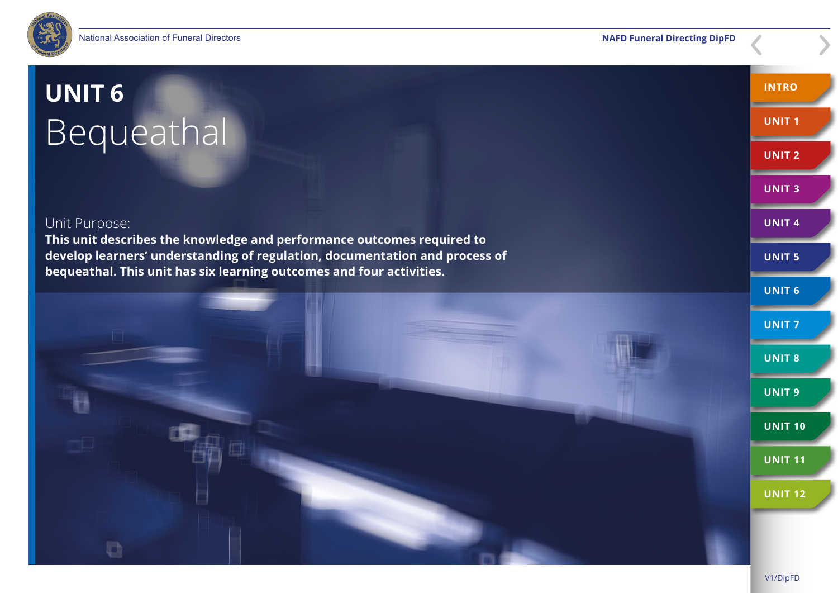

# **UNIT 6**  Bequeathal

### Unit Purpose:

**This unit describes the knowledge and performance outcomes required to develop learners' understanding of regulation, documentation and process of bequeathal. This unit has six learning outcomes and four activities.**



**INTRO**

**UNIT 1**

**UNIT 2**

**UNIT 3**

**UNIT 4**

**UNIT 5**

**UNIT 6**

**UNIT 10**

**UNIT 11**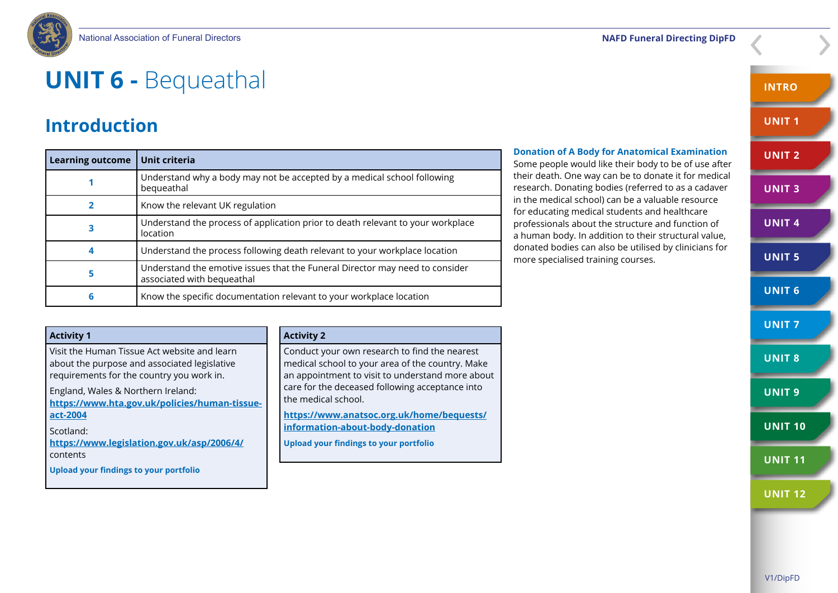

## **UNIT 6 -** Bequeathal

### **Introduction**

| <b>Learning outcome</b> | Unit criteria                                                                                              |
|-------------------------|------------------------------------------------------------------------------------------------------------|
|                         | Understand why a body may not be accepted by a medical school following<br>bequeathal                      |
|                         | Know the relevant UK regulation                                                                            |
| з                       | Understand the process of application prior to death relevant to your workplace<br>location                |
|                         | Understand the process following death relevant to your workplace location                                 |
| 5                       | Understand the emotive issues that the Funeral Director may need to consider<br>associated with bequeathal |
| 6                       | Know the specific documentation relevant to your workplace location                                        |

### **Donation of A Body for Anatomical Examination** Some people would like their body to be of use after their death. One way can be to donate it for medical research. Donating bodies (referred to as a cadaver in the medical school) can be a valuable resource

for educating medical students and healthcare professionals about the structure and function of a human body. In addition to their structural value, donated bodies can also be utilised by clinicians for more specialised training courses.

**UNIT 3 UNIT 4 UNIT 5 UNIT 6 UNIT 7 UNIT 8 UNIT 9 UNIT 10 UNIT 11**

**INTRO**

**UNIT 1**

**UNIT 2**

**Activity 1** Visit the Human Tissue Act website and learn about the purpose and associated legislative requirements for the country you work in. England, Wales & Northern Ireland: **[https://www.hta.gov.uk/policies/human-tissue](https://www.hta.gov.uk/policies/human-tissue-act-2004)[act-2004](https://www.hta.gov.uk/policies/human-tissue-act-2004)** Scotland: **<https://www.legislation.gov.uk/asp/2006/4/>** contents **Upload your findings to your portfolio Activity 2** Conduct your own research to find the nearest medical school to your area of the country. Make an appointment to visit to understand more about care for the deceased following acceptance into the medical school. **[https://www.anatsoc.org.uk/home/bequests/](https://www.anatsoc.org.uk/home/bequests/information-about-body-donation
) [information-about-body-donation](https://www.anatsoc.org.uk/home/bequests/information-about-body-donation
) Upload your findings to your portfolio**

#### V1/DipFD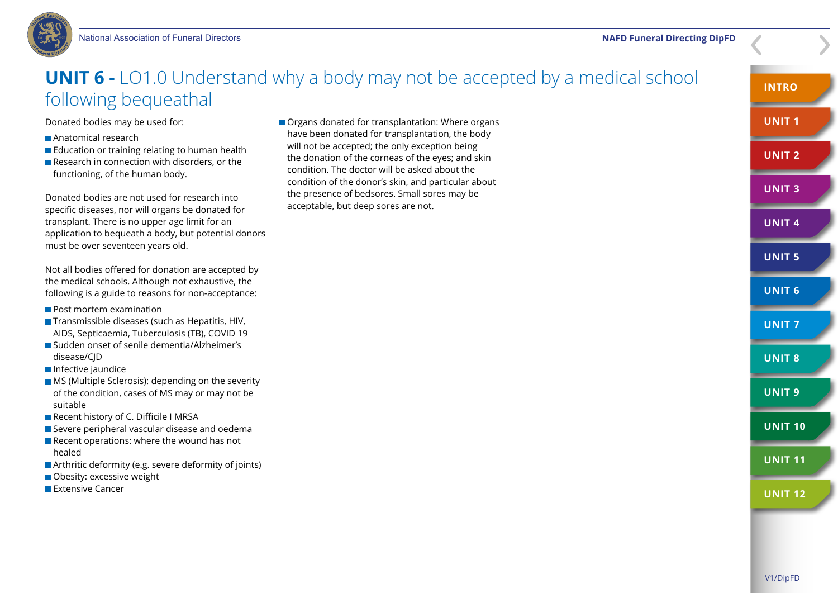

### **UNIT 6 -** LO1.0 Understand why a body may not be accepted by a medical school following bequeathal

Donated bodies may be used for:

- **Anatomical research**
- **Education or training relating to human health**
- Research in connection with disorders, or the functioning, of the human body.

Donated bodies are not used for research into specific diseases, nor will organs be donated for transplant. There is no upper age limit for an application to bequeath a body, but potential donors must be over seventeen years old.

Not all bodies offered for donation are accepted by the medical schools. Although not exhaustive, the following is a guide to reasons for non-acceptance:

- Post mortem examination
- $\blacksquare$  Transmissible diseases (such as Hepatitis, HIV, AIDS, Septicaemia, Tuberculosis (TB), COVID 19
- Sudden onset of senile dementia/Alzheimer's disease/CID
- **Infective jaundice**
- **MS** (Multiple Sclerosis): depending on the severity of the condition, cases of MS may or may not be suitable
- Recent history of C. Difficile I MRSA
- Severe peripheral vascular disease and oedema
- $\blacksquare$  Recent operations: where the wound has not healed
- Arthritic deformity (e.g. severe deformity of joints)
- Obesity: excessive weight
- **Extensive Cancer**

Organs donated for transplantation: Where organs have been donated for transplantation, the body will not be accepted; the only exception being the donation of the corneas of the eyes; and skin condition. The doctor will be asked about the condition of the donor's skin, and particular about the presence of bedsores. Small sores may be acceptable, but deep sores are not.

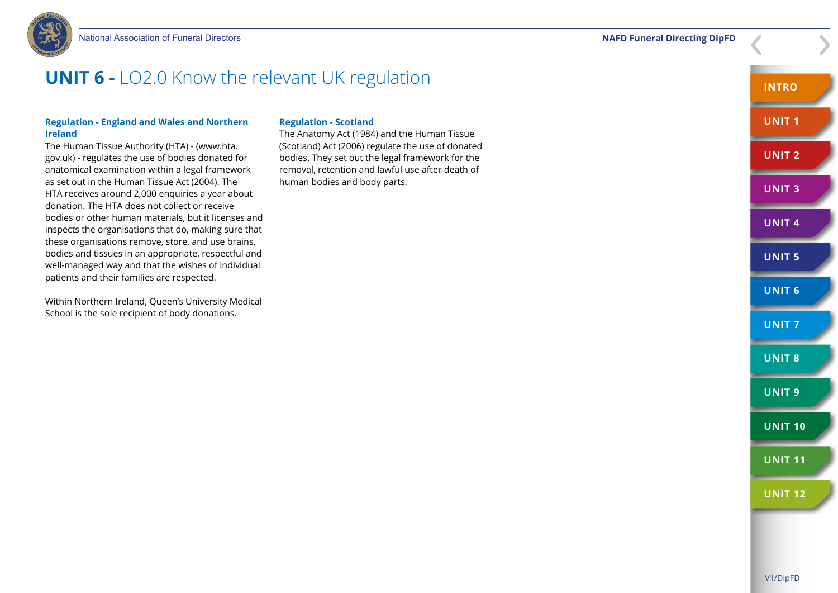National Association of Funeral Directors **NAFD Funeral Directing DipFD**



### **UNIT 6 -** LO2.0 Know the relevant UK regulation

#### **Regulation - England and Wales and Northern Ireland**

The Human Tissue Authority (HTA) - (www.hta. gov.uk) - regulates the use of bodies donated for anatomical examination within a legal framework as set out in the Human Tissue Act (2004). The HTA receives around 2,000 enquiries a year about donation. The HTA does not collect or receive bodies or other human materials, but it licenses and inspects the organisations that do, making sure that these organisations remove, store, and use brains, bodies and tissues in an appropriate, respectful and well-managed way and that the wishes of individual patients and their families are respected.

Within Northern Ireland, Queen's University Medical School is the sole recipient of body donations.

#### **Regulation - Scotland**

The Anatomy Act (1984) and the Human Tissue (Scotland) Act (2006) regulate the use of donated bodies. They set out the legal framework for the removal, retention and lawful use after death of human bodies and body parts.

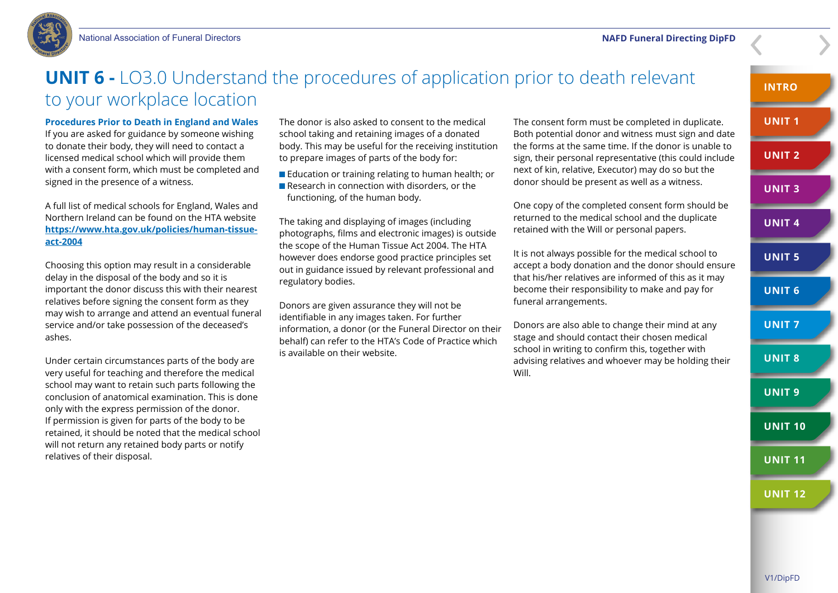

### **UNIT 6 -** LO3.0 Understand the procedures of application prior to death relevant to your workplace location

### **Procedures Prior to Death in England and Wales**

If you are asked for guidance by someone wishing to donate their body, they will need to contact a licensed medical school which will provide them with a consent form, which must be completed and signed in the presence of a witness.

A full list of medical schools for England, Wales and Northern Ireland can be found on the HTA website **[https://www.hta.gov.uk/policies/human-tissue](https://www.hta.gov.uk/policies/human-tissue-act-2004)[act-2004](https://www.hta.gov.uk/policies/human-tissue-act-2004)**

Choosing this option may result in a considerable delay in the disposal of the body and so it is important the donor discuss this with their nearest relatives before signing the consent form as they may wish to arrange and attend an eventual funeral service and/or take possession of the deceased's ashes.

Under certain circumstances parts of the body are very useful for teaching and therefore the medical school may want to retain such parts following the conclusion of anatomical examination. This is done only with the express permission of the donor. If permission is given for parts of the body to be retained, it should be noted that the medical school will not return any retained body parts or notify relatives of their disposal.

The donor is also asked to consent to the medical school taking and retaining images of a donated body. This may be useful for the receiving institution to prepare images of parts of the body for:

**Education or training relating to human health; or** Research in connection with disorders, or the functioning, of the human body.

The taking and displaying of images (including photographs, films and electronic images) is outside the scope of the Human Tissue Act 2004. The HTA however does endorse good practice principles set out in guidance issued by relevant professional and regulatory bodies.

Donors are given assurance they will not be identifiable in any images taken. For further information, a donor (or the Funeral Director on their behalf) can refer to the HTA's Code of Practice which is available on their website.

The consent form must be completed in duplicate. Both potential donor and witness must sign and date the forms at the same time. If the donor is unable to sign, their personal representative (this could include next of kin, relative, Executor) may do so but the donor should be present as well as a witness.

One copy of the completed consent form should be returned to the medical school and the duplicate retained with the Will or personal papers.

It is not always possible for the medical school to accept a body donation and the donor should ensure that his/her relatives are informed of this as it may become their responsibility to make and pay for funeral arrangements.

Donors are also able to change their mind at any stage and should contact their chosen medical school in writing to confirm this, together with advising relatives and whoever may be holding their Will.

**INTRO UNIT 1 UNIT 2 UNIT 3 UNIT 4 UNIT 5 UNIT 6 UNIT 7 UNIT 8 UNIT 9 UNIT 10 UNIT 11 UNIT 12**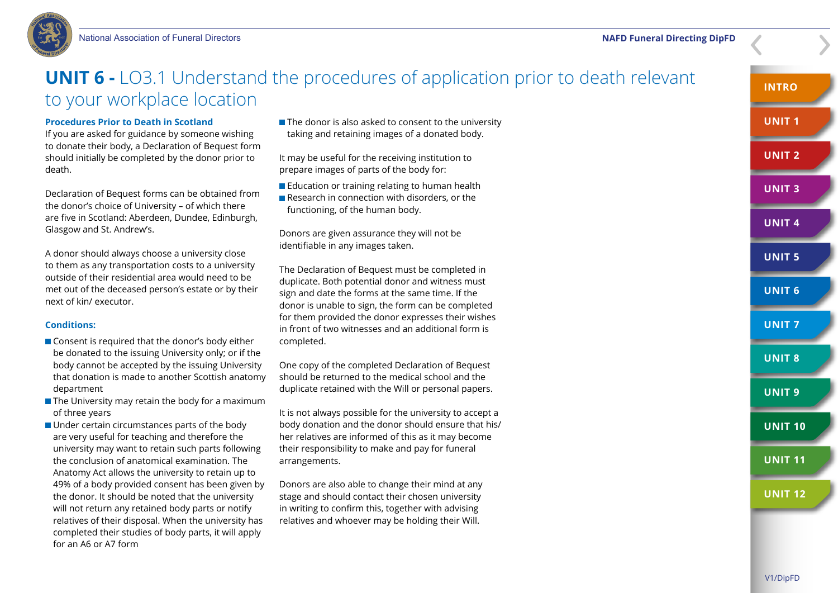

### **UNIT 6 -** LO3.1 Understand the procedures of application prior to death relevant to your workplace location

### **Procedures Prior to Death in Scotland**

If you are asked for guidance by someone wishing to donate their body, a Declaration of Bequest form should initially be completed by the donor prior to death.

Declaration of Bequest forms can be obtained from the donor's choice of University – of which there are five in Scotland: Aberdeen, Dundee, Edinburgh, Glasgow and St. Andrew's.

A donor should always choose a university close to them as any transportation costs to a university outside of their residential area would need to be met out of the deceased person's estate or by their next of kin/ executor.

#### **Conditions:**

- Consent is required that the donor's body either be donated to the issuing University only; or if the body cannot be accepted by the issuing University that donation is made to another Scottish anatomy department
- $\blacksquare$  The University may retain the body for a maximum of three years
- Under certain circumstances parts of the body are very useful for teaching and therefore the university may want to retain such parts following the conclusion of anatomical examination. The Anatomy Act allows the university to retain up to 49% of a body provided consent has been given by the donor. It should be noted that the university will not return any retained body parts or notify relatives of their disposal. When the university has completed their studies of body parts, it will apply for an A6 or A7 form

 $\blacksquare$  The donor is also asked to consent to the university taking and retaining images of a donated body.

It may be useful for the receiving institution to prepare images of parts of the body for:

- **Education or training relating to human health**
- Research in connection with disorders, or the functioning, of the human body.

Donors are given assurance they will not be identifiable in any images taken.

The Declaration of Bequest must be completed in duplicate. Both potential donor and witness must sign and date the forms at the same time. If the donor is unable to sign, the form can be completed for them provided the donor expresses their wishes in front of two witnesses and an additional form is completed.

One copy of the completed Declaration of Bequest should be returned to the medical school and the duplicate retained with the Will or personal papers.

It is not always possible for the university to accept a body donation and the donor should ensure that his/ her relatives are informed of this as it may become their responsibility to make and pay for funeral arrangements.

Donors are also able to change their mind at any stage and should contact their chosen university in writing to confirm this, together with advising relatives and whoever may be holding their Will.

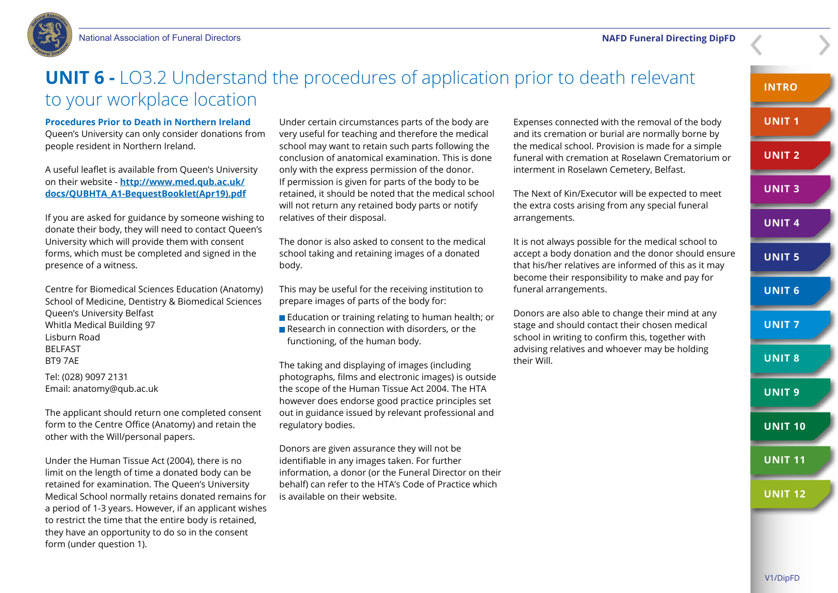

### **UNIT 6 -** LO3.2 Understand the procedures of application prior to death relevant to your workplace location

#### **Procedures Prior to Death in Northern Ireland**

Queen's University can only consider donations from people resident in Northern Ireland.

A useful leaflet is available from Queen's University on their website - **[http://www.med.qub.ac.uk/](http://www.med.qub.ac.uk/docs/QUBHTA_A1-BequestBooklet(Apr19).pdf) [docs/QUBHTA\\_A1-BequestBooklet\(Apr19\).pdf](http://www.med.qub.ac.uk/docs/QUBHTA_A1-BequestBooklet(Apr19).pdf)**

If you are asked for guidance by someone wishing to donate their body, they will need to contact Queen's University which will provide them with consent forms, which must be completed and signed in the presence of a witness.

Centre for Biomedical Sciences Education (Anatomy) School of Medicine, Dentistry & Biomedical Sciences Queen's University Belfast Whitla Medical Building 97 Lisburn Road BELFAST BT9 7AE

Tel: (028) 9097 2131 Email: anatomy@qub.ac.uk

The applicant should return one completed consent form to the Centre Office (Anatomy) and retain the other with the Will/personal papers.

Under the Human Tissue Act (2004), there is no limit on the length of time a donated body can be retained for examination. The Queen's University Medical School normally retains donated remains for a period of 1-3 years. However, if an applicant wishes to restrict the time that the entire body is retained, they have an opportunity to do so in the consent form (under question 1).

Under certain circumstances parts of the body are very useful for teaching and therefore the medical school may want to retain such parts following the conclusion of anatomical examination. This is done only with the express permission of the donor. If permission is given for parts of the body to be retained, it should be noted that the medical school will not return any retained body parts or notify relatives of their disposal.

The donor is also asked to consent to the medical school taking and retaining images of a donated body.

This may be useful for the receiving institution to prepare images of parts of the body for:

- **Education or training relating to human health; or**
- Research in connection with disorders, or the functioning, of the human body.

The taking and displaying of images (including photographs, films and electronic images) is outside the scope of the Human Tissue Act 2004. The HTA however does endorse good practice principles set out in guidance issued by relevant professional and regulatory bodies.

Donors are given assurance they will not be identifiable in any images taken. For further information, a donor (or the Funeral Director on their behalf) can refer to the HTA's Code of Practice which is available on their website.

Expenses connected with the removal of the body and its cremation or burial are normally borne by the medical school. Provision is made for a simple funeral with cremation at Roselawn Crematorium or interment in Roselawn Cemetery, Belfast.

The Next of Kin/Executor will be expected to meet the extra costs arising from any special funeral arrangements.

It is not always possible for the medical school to accept a body donation and the donor should ensure that his/her relatives are informed of this as it may become their responsibility to make and pay for funeral arrangements.

Donors are also able to change their mind at any stage and should contact their chosen medical school in writing to confirm this, together with advising relatives and whoever may be holding their Will.

**INTRO**

**UNIT 1**

**UNIT 2**

**UNIT 3**

**UNIT 4**

**UNIT 5**

**UNIT 6**

**UNIT 7**

**UNIT 8**

**UNIT 9**

**UNIT 10**

**UNIT 11**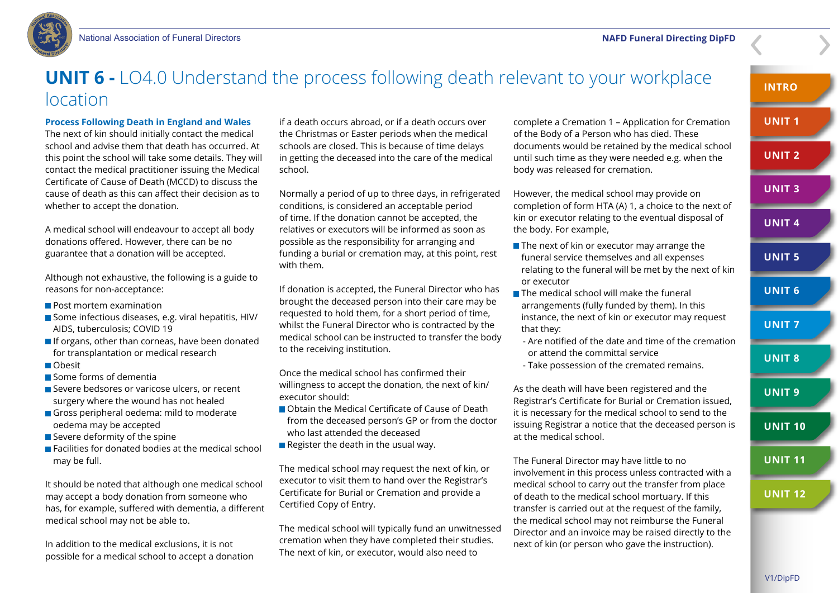

### **UNIT 6 -** LO4.0 Understand the process following death relevant to your workplace location

### **Process Following Death in England and Wales**

The next of kin should initially contact the medical school and advise them that death has occurred. At this point the school will take some details. They will contact the medical practitioner issuing the Medical Certificate of Cause of Death (MCCD) to discuss the cause of death as this can affect their decision as to whether to accept the donation.

A medical school will endeavour to accept all body donations offered. However, there can be no guarantee that a donation will be accepted.

Although not exhaustive, the following is a guide to reasons for non-acceptance:

- **Post mortem examination**
- Some infectious diseases, e.g. viral hepatitis, HIV/ AIDS, tuberculosis; COVID 19
- If organs, other than corneas, have been donated for transplantation or medical research
- Obesit
- Some forms of demential
- Severe bedsores or varicose ulcers, or recent surgery where the wound has not healed
- Gross peripheral oedema: mild to moderate oedema may be accepted
- $\blacksquare$  Severe deformity of the spine
- Facilities for donated bodies at the medical school may be full.

It should be noted that although one medical school may accept a body donation from someone who has, for example, suffered with dementia, a different medical school may not be able to.

In addition to the medical exclusions, it is not possible for a medical school to accept a donation

if a death occurs abroad, or if a death occurs over the Christmas or Easter periods when the medical schools are closed. This is because of time delays in getting the deceased into the care of the medical school.

Normally a period of up to three days, in refrigerated conditions, is considered an acceptable period of time. If the donation cannot be accepted, the relatives or executors will be informed as soon as possible as the responsibility for arranging and funding a burial or cremation may, at this point, rest with them.

If donation is accepted, the Funeral Director who has brought the deceased person into their care may be requested to hold them, for a short period of time, whilst the Funeral Director who is contracted by the medical school can be instructed to transfer the body to the receiving institution.

Once the medical school has confirmed their willingness to accept the donation, the next of kin/ executor should:

- Obtain the Medical Certificate of Cause of Death from the deceased person's GP or from the doctor who last attended the deceased
- Register the death in the usual way.

The medical school may request the next of kin, or executor to visit them to hand over the Registrar's Certificate for Burial or Cremation and provide a Certified Copy of Entry.

The medical school will typically fund an unwitnessed cremation when they have completed their studies. The next of kin, or executor, would also need to

complete a Cremation 1 – Application for Cremation of the Body of a Person who has died. These documents would be retained by the medical school until such time as they were needed e.g. when the body was released for cremation.

However, the medical school may provide on completion of form HTA (A) 1, a choice to the next of kin or executor relating to the eventual disposal of the body. For example,

- $\blacksquare$  The next of kin or executor may arrange the funeral service themselves and all expenses relating to the funeral will be met by the next of kin or executor
- $\blacksquare$  The medical school will make the funeral arrangements (fully funded by them). In this instance, the next of kin or executor may request that they:
- Are notified of the date and time of the cremation or attend the committal service
- Take possession of the cremated remains.

As the death will have been registered and the Registrar's Certificate for Burial or Cremation issued, it is necessary for the medical school to send to the issuing Registrar a notice that the deceased person is at the medical school.

The Funeral Director may have little to no involvement in this process unless contracted with a medical school to carry out the transfer from place of death to the medical school mortuary. If this transfer is carried out at the request of the family, the medical school may not reimburse the Funeral Director and an invoice may be raised directly to the next of kin (or person who gave the instruction).

**INTRO**

**UNIT 1**

**UNIT 2**

**UNIT 3**

**UNIT 4**

**UNIT 5**

**UNIT 6**

**UNIT 7**

**UNIT 8**

**UNIT 9**

**UNIT 10**

**UNIT 11**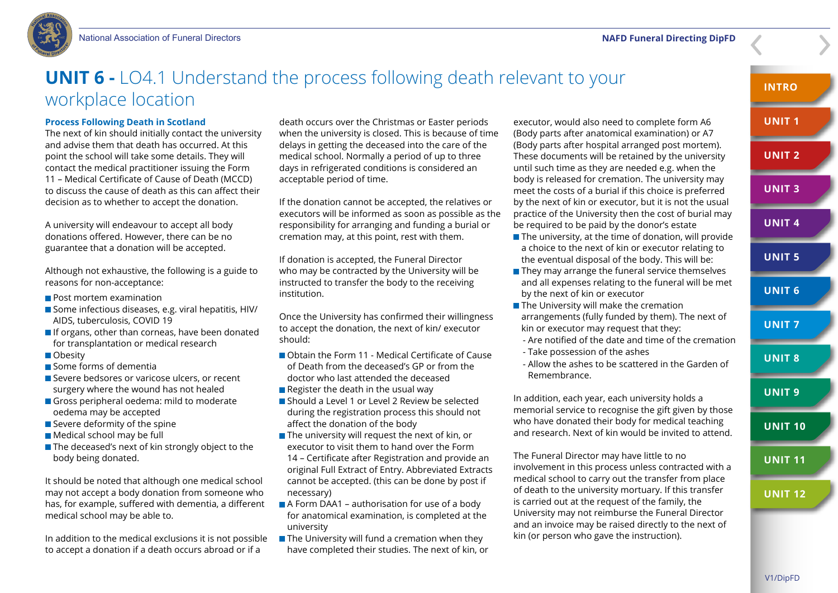

### **UNIT 6 -** LO4.1 Understand the process following death relevant to your workplace location

### **Process Following Death in Scotland**

The next of kin should initially contact the university and advise them that death has occurred. At this point the school will take some details. They will contact the medical practitioner issuing the Form 11 – Medical Certificate of Cause of Death (MCCD) to discuss the cause of death as this can affect their decision as to whether to accept the donation.

A university will endeavour to accept all body donations offered. However, there can be no guarantee that a donation will be accepted.

Although not exhaustive, the following is a guide to reasons for non-acceptance:

- **Post mortem examination**
- Some infectious diseases, e.g. viral hepatitis, HIV/ AIDS, tuberculosis, COVID 19
- If organs, other than corneas, have been donated for transplantation or medical research
- **Obesity**
- Some forms of demential
- Severe bedsores or varicose ulcers, or recent surgery where the wound has not healed
- Gross peripheral oedema: mild to moderate oedema may be accepted
- $\blacksquare$  Severe deformity of the spine
- Medical school may be full
- The deceased's next of kin strongly object to the body being donated.

It should be noted that although one medical school may not accept a body donation from someone who has, for example, suffered with dementia, a different medical school may be able to.

In addition to the medical exclusions it is not possible to accept a donation if a death occurs abroad or if a

death occurs over the Christmas or Easter periods when the university is closed. This is because of time delays in getting the deceased into the care of the medical school. Normally a period of up to three days in refrigerated conditions is considered an acceptable period of time.

If the donation cannot be accepted, the relatives or executors will be informed as soon as possible as the responsibility for arranging and funding a burial or cremation may, at this point, rest with them.

If donation is accepted, the Funeral Director who may be contracted by the University will be instructed to transfer the body to the receiving institution.

Once the University has confirmed their willingness to accept the donation, the next of kin/ executor should:

- Obtain the Form 11 Medical Certificate of Cause of Death from the deceased's GP or from the doctor who last attended the deceased
- Register the death in the usual way
- Should a Level 1 or Level 2 Review be selected during the registration process this should not affect the donation of the body
- The university will request the next of kin, or executor to visit them to hand over the Form 14 – Certificate after Registration and provide an original Full Extract of Entry. Abbreviated Extracts cannot be accepted. (this can be done by post if necessary)
- **A** Form DAA1 authorisation for use of a body for anatomical examination, is completed at the university
- $\blacksquare$  The University will fund a cremation when they have completed their studies. The next of kin, or

executor, would also need to complete form A6 (Body parts after anatomical examination) or A7 (Body parts after hospital arranged post mortem). These documents will be retained by the university until such time as they are needed e.g. when the body is released for cremation. The university may meet the costs of a burial if this choice is preferred by the next of kin or executor, but it is not the usual practice of the University then the cost of burial may be required to be paid by the donor's estate

- $\blacksquare$  The university, at the time of donation, will provide a choice to the next of kin or executor relating to the eventual disposal of the body. This will be:
- They may arrange the funeral service themselves and all expenses relating to the funeral will be met by the next of kin or executor
- **The University will make the cremation** arrangements (fully funded by them). The next of kin or executor may request that they:

 - Are notified of the date and time of the cremation - Take possession of the ashes

- Allow the ashes to be scattered in the Garden of
- Remembrance.

In addition, each year, each university holds a memorial service to recognise the gift given by those who have donated their body for medical teaching and research. Next of kin would be invited to attend.

The Funeral Director may have little to no involvement in this process unless contracted with a medical school to carry out the transfer from place of death to the university mortuary. If this transfer is carried out at the request of the family, the University may not reimburse the Funeral Director and an invoice may be raised directly to the next of kin (or person who gave the instruction).

#### **INTRO**

**UNIT 1**

**UNIT 2**

**UNIT 3**

**UNIT 4**

### **UNIT 5**

**UNIT 6**

**UNIT 7**

**UNIT 8**

### **UNIT 9**

**UNIT 10**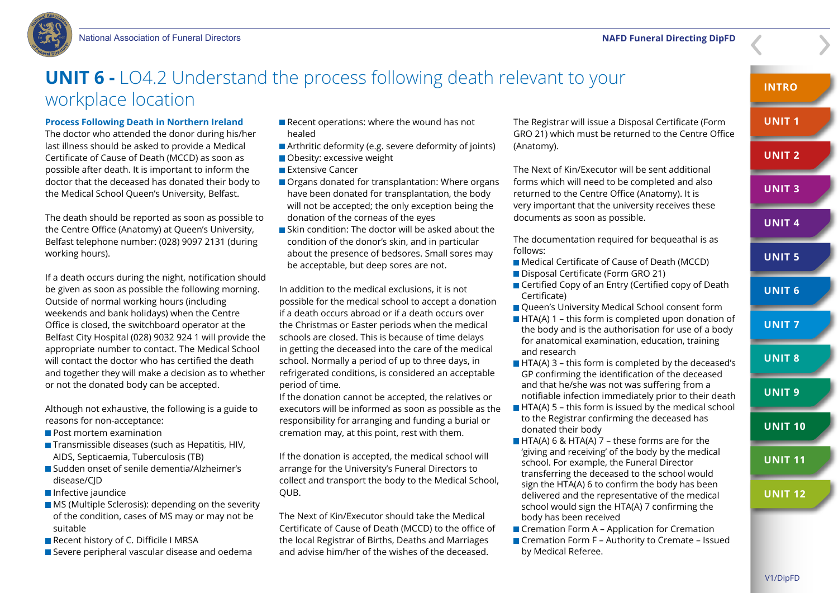

### **UNIT 6 -** LO4.2 Understand the process following death relevant to your workplace location

### **Process Following Death in Northern Ireland**

The doctor who attended the donor during his/her last illness should be asked to provide a Medical Certificate of Cause of Death (MCCD) as soon as possible after death. It is important to inform the doctor that the deceased has donated their body to the Medical School Queen's University, Belfast.

The death should be reported as soon as possible to the Centre Office (Anatomy) at Queen's University, Belfast telephone number: (028) 9097 2131 (during working hours).

If a death occurs during the night, notification should be given as soon as possible the following morning. Outside of normal working hours (including weekends and bank holidays) when the Centre Office is closed, the switchboard operator at the Belfast City Hospital (028) 9032 924 1 will provide the appropriate number to contact. The Medical School will contact the doctor who has certified the death and together they will make a decision as to whether or not the donated body can be accepted.

Although not exhaustive, the following is a guide to reasons for non-acceptance:

- **Post mortem examination**
- $\blacksquare$  Transmissible diseases (such as Hepatitis, HIV, AIDS, Septicaemia, Tuberculosis (TB)
- Sudden onset of senile dementia/Alzheimer's disease/CJD
- **Infective jaundice**
- **MS** (Multiple Sclerosis): depending on the severity of the condition, cases of MS may or may not be suitable
- Recent history of C. Difficile I MRSA
- Severe peripheral vascular disease and oedema
- $\blacksquare$  Recent operations: where the wound has not healed
- Arthritic deformity (e.g. severe deformity of joints)
- Obesity: excessive weight
- **Extensive Cancer**
- Organs donated for transplantation: Where organs have been donated for transplantation, the body will not be accepted; the only exception being the donation of the corneas of the eyes
- Skin condition: The doctor will be asked about the condition of the donor's skin, and in particular about the presence of bedsores. Small sores may be acceptable, but deep sores are not.

In addition to the medical exclusions, it is not possible for the medical school to accept a donation if a death occurs abroad or if a death occurs over the Christmas or Easter periods when the medical schools are closed. This is because of time delays in getting the deceased into the care of the medical school. Normally a period of up to three days, in refrigerated conditions, is considered an acceptable period of time.

If the donation cannot be accepted, the relatives or executors will be informed as soon as possible as the responsibility for arranging and funding a burial or cremation may, at this point, rest with them.

If the donation is accepted, the medical school will arrange for the University's Funeral Directors to collect and transport the body to the Medical School, QUB.

The Next of Kin/Executor should take the Medical Certificate of Cause of Death (MCCD) to the office of the local Registrar of Births, Deaths and Marriages and advise him/her of the wishes of the deceased.

The Registrar will issue a Disposal Certificate (Form GRO 21) which must be returned to the Centre Office (Anatomy).

The Next of Kin/Executor will be sent additional forms which will need to be completed and also returned to the Centre Office (Anatomy). It is very important that the university receives these documents as soon as possible.

The documentation required for bequeathal is as follows:

- Medical Certificate of Cause of Death (MCCD)
- Disposal Certificate (Form GRO 21)
- Certified Copy of an Entry (Certified copy of Death Certificate)
- **Oueen's University Medical School consent form**
- $\blacksquare$  HTA(A) 1 this form is completed upon donation of the body and is the authorisation for use of a body for anatomical examination, education, training and research
- $\blacksquare$  HTA(A) 3 this form is completed by the deceased's GP confirming the identification of the deceased and that he/she was not was suffering from a notifiable infection immediately prior to their death
- $\blacksquare$  HTA(A) 5 this form is issued by the medical school to the Registrar confirming the deceased has donated their body
- $\blacksquare$  HTA(A) 6 & HTA(A) 7 these forms are for the 'giving and receiving' of the body by the medical school. For example, the Funeral Director transferring the deceased to the school would sign the HTA(A) 6 to confirm the body has been delivered and the representative of the medical school would sign the HTA(A) 7 confirming the body has been received
- Cremation Form A Application for Cremation ■ Cremation Form F – Authority to Cremate – Issued by Medical Referee.

**INTRO**

**UNIT 1**

**UNIT 2**

**UNIT 3**

**UNIT 4**

**UNIT 5**

**UNIT 6**

**UNIT 7**

**UNIT 8**

**UNIT 9**

**UNIT 10**

**UNIT 11**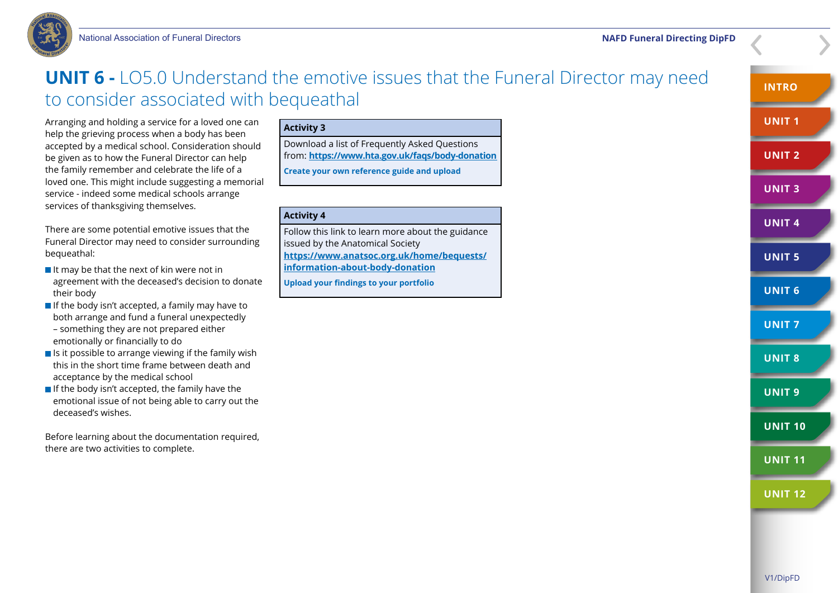

### **UNIT 6 -** LO5.0 Understand the emotive issues that the Funeral Director may need to consider associated with bequeathal

Arranging and holding a service for a loved one can help the grieving process when a body has been accepted by a medical school. Consideration should be given as to how the Funeral Director can help the family remember and celebrate the life of a loved one. This might include suggesting a memorial service - indeed some medical schools arrange services of thanksgiving themselves.

There are some potential emotive issues that the Funeral Director may need to consider surrounding bequeathal:

- $\blacksquare$  It may be that the next of kin were not in agreement with the deceased's decision to donate their body
- $\blacksquare$  If the body isn't accepted, a family may have to both arrange and fund a funeral unexpectedly – something they are not prepared either emotionally or financially to do
- $\blacksquare$  Is it possible to arrange viewing if the family wish this in the short time frame between death and acceptance by the medical school
- $\blacksquare$  If the body isn't accepted, the family have the emotional issue of not being able to carry out the deceased's wishes.

Before learning about the documentation required. there are two activities to complete.

### **Activity 3**

Download a list of Frequently Asked Questions from: **<https://www.hta.gov.uk/faqs/body-donation> Create your own reference guide and upload**

### **Activity 4**

Follow this link to learn more about the guidance issued by the Anatomical Society **[https://www.anatsoc.org.uk/home/bequests/](https://www.anatsoc.org.uk/home/bequests/information-about-body-donation) [information-about-body-donation](https://www.anatsoc.org.uk/home/bequests/information-about-body-donation)**

**Upload your findings to your portfolio**

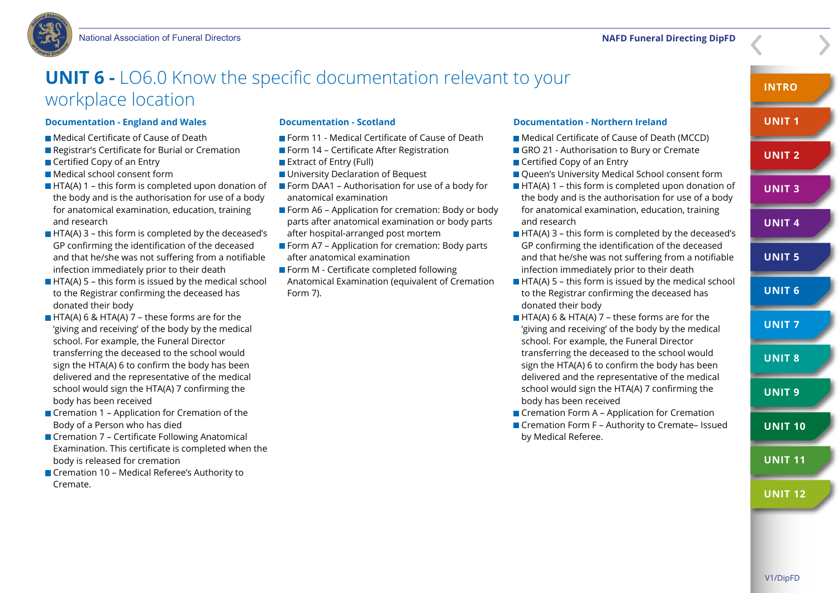### **UNIT 6 -** LO6.0 Know the specific documentation relevant to your workplace location

#### **Documentation - England and Wales**

- Medical Certificate of Cause of Death
- Registrar's Certificate for Burial or Cremation
- Certified Copy of an Entry
- Medical school consent form
- $\blacksquare$  HTA(A) 1 this form is completed upon donation of the body and is the authorisation for use of a body for anatomical examination, education, training and research
- $\blacksquare$  HTA(A) 3 this form is completed by the deceased's GP confirming the identification of the deceased and that he/she was not suffering from a notifiable infection immediately prior to their death
- $\blacksquare$  HTA(A) 5 this form is issued by the medical school to the Registrar confirming the deceased has donated their body
- **HTA(A) 6 & HTA(A) 7 these forms are for the** 'giving and receiving' of the body by the medical school. For example, the Funeral Director transferring the deceased to the school would sign the HTA(A) 6 to confirm the body has been delivered and the representative of the medical school would sign the HTA(A) 7 confirming the body has been received
- Cremation 1 Application for Cremation of the Body of a Person who has died
- Cremation 7 Certificate Following Anatomical Examination. This certificate is completed when the body is released for cremation
- Cremation 10 Medical Referee's Authority to Cremate.

#### **Documentation - Scotland**

- **Form 11 Medical Certificate of Cause of Death**
- **Form 14 Certificate After Registration**
- **Extract of Entry (Full)**
- **University Declaration of Bequest**
- $\blacksquare$  Form DAA1 Authorisation for use of a body for anatomical examination
- **Form A6 Application for cremation: Body or body** parts after anatomical examination or body parts after hospital-arranged post mortem
- Form A7 Application for cremation: Body parts after anatomical examination
- **Form M Certificate completed following** Anatomical Examination (equivalent of Cremation Form 7).

#### **Documentation - Northern Ireland**

- Medical Certificate of Cause of Death (MCCD)
- GRO 21 Authorisation to Bury or Cremate
- Certified Copy of an Entry
- **Oueen's University Medical School consent form** 
	- $\blacksquare$  HTA(A) 1 this form is completed upon donation of the body and is the authorisation for use of a body for anatomical examination, education, training and research
	- $\blacksquare$  HTA(A) 3 this form is completed by the deceased's GP confirming the identification of the deceased and that he/she was not suffering from a notifiable infection immediately prior to their death
	- $\blacksquare$  HTA(A) 5 this form is issued by the medical school to the Registrar confirming the deceased has donated their body
	- $\blacksquare$  HTA(A) 6 & HTA(A) 7 these forms are for the 'giving and receiving' of the body by the medical school. For example, the Funeral Director transferring the deceased to the school would sign the HTA(A) 6 to confirm the body has been delivered and the representative of the medical school would sign the HTA(A) 7 confirming the body has been received
	- Cremation Form A Application for Cremation ■ Cremation Form F – Authority to Cremate– Issued by Medical Referee.

**INTRO**

**UNIT 1**

**UNIT 2**

**UNIT 3**

**UNIT 4**

**UNIT 5**

**UNIT 6**

**UNIT 7**

**UNIT 8**

**UNIT 9**

**UNIT 10**

**UNIT 11**